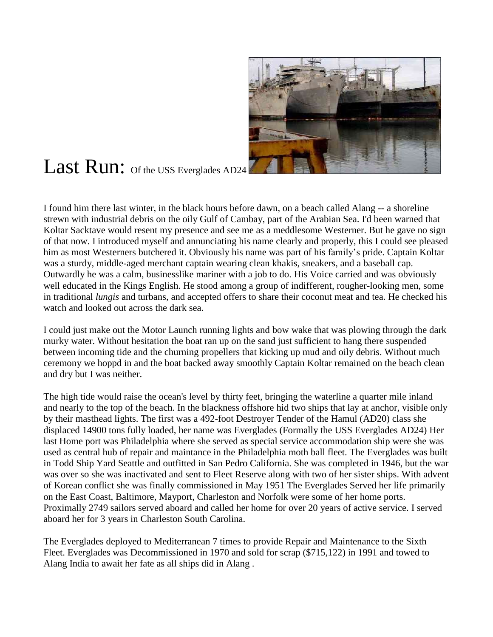

## Last Run: Of the USS Everglades AD24

I found him there last winter, in the black hours before dawn, on a beach called Alang -- a shoreline strewn with industrial debris on the oily Gulf of Cambay, part of the Arabian Sea. I'd been warned that Koltar Sacktave would resent my presence and see me as a meddlesome Westerner. But he gave no sign of that now. I introduced myself and annunciating his name clearly and properly, this I could see pleased him as most Westerners butchered it. Obviously his name was part of his family's pride. Captain Koltar was a sturdy, middle-aged merchant captain wearing clean khakis, sneakers, and a baseball cap. Outwardly he was a calm, businesslike mariner with a job to do. His Voice carried and was obviously well educated in the Kings English. He stood among a group of indifferent, rougher-looking men, some in traditional *lungis* and turbans, and accepted offers to share their coconut meat and tea. He checked his watch and looked out across the dark sea.

I could just make out the Motor Launch running lights and bow wake that was plowing through the dark murky water. Without hesitation the boat ran up on the sand just sufficient to hang there suspended between incoming tide and the churning propellers that kicking up mud and oily debris. Without much ceremony we hoppd in and the boat backed away smoothly Captain Koltar remained on the beach clean and dry but I was neither.

The high tide would raise the ocean's level by thirty feet, bringing the waterline a quarter mile inland and nearly to the top of the beach. In the blackness offshore hid two ships that lay at anchor, visible only by their masthead lights. The first was a 492-foot Destroyer Tender of the Hamul (AD20) class she displaced 14900 tons fully loaded, her name was Everglades (Formally the USS Everglades AD24) Her last Home port was Philadelphia where she served as special service accommodation ship were she was used as central hub of repair and maintance in the Philadelphia moth ball fleet. The Everglades was built in Todd Ship Yard Seattle and outfitted in San Pedro California. She was completed in 1946, but the war was over so she was inactivated and sent to Fleet Reserve along with two of her sister ships. With advent of Korean conflict she was finally commissioned in May 1951 The Everglades Served her life primarily on the East Coast, Baltimore, Mayport, Charleston and Norfolk were some of her home ports. Proximally 2749 sailors served aboard and called her home for over 20 years of active service. I served aboard her for 3 years in Charleston South Carolina.

The Everglades deployed to Mediterranean 7 times to provide Repair and Maintenance to the Sixth Fleet. Everglades was Decommissioned in 1970 and sold for scrap (\$715,122) in 1991 and towed to Alang India to await her fate as all ships did in Alang .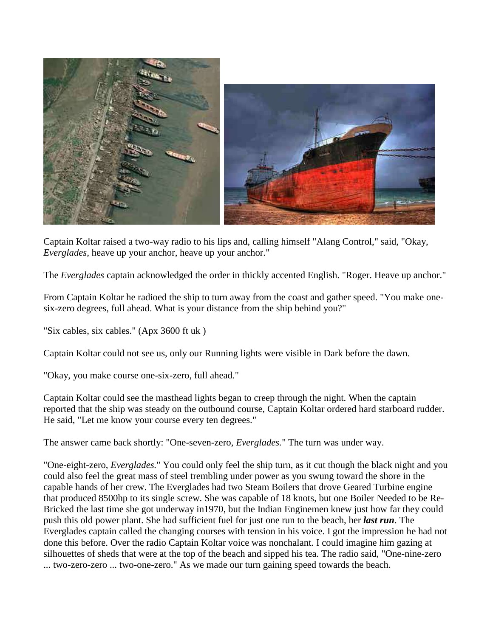

Captain Koltar raised a two-way radio to his lips and, calling himself "Alang Control," said, "Okay, *Everglades,* heave up your anchor, heave up your anchor."

The *Everglades* captain acknowledged the order in thickly accented English. "Roger. Heave up anchor."

From Captain Koltar he radioed the ship to turn away from the coast and gather speed. "You make onesix-zero degrees, full ahead. What is your distance from the ship behind you?"

"Six cables, six cables." (Apx 3600 ft uk )

Captain Koltar could not see us, only our Running lights were visible in Dark before the dawn.

"Okay, you make course one-six-zero, full ahead."

Captain Koltar could see the masthead lights began to creep through the night. When the captain reported that the ship was steady on the outbound course, Captain Koltar ordered hard starboard rudder. He said, "Let me know your course every ten degrees."

The answer came back shortly: "One-seven-zero, *Everglades.*" The turn was under way.

"One-eight-zero, *Everglades.*" You could only feel the ship turn, as it cut though the black night and you could also feel the great mass of steel trembling under power as you swung toward the shore in the capable hands of her crew. The Everglades had two Steam Boilers that drove Geared Turbine engine that produced 8500hp to its single screw. She was capable of 18 knots, but one Boiler Needed to be Re-Bricked the last time she got underway in1970, but the Indian Enginemen knew just how far they could push this old power plant. She had sufficient fuel for just one run to the beach, her *last run*. The Everglades captain called the changing courses with tension in his voice. I got the impression he had not done this before. Over the radio Captain Koltar voice was nonchalant. I could imagine him gazing at silhouettes of sheds that were at the top of the beach and sipped his tea. The radio said, "One-nine-zero ... two-zero-zero ... two-one-zero." As we made our turn gaining speed towards the beach.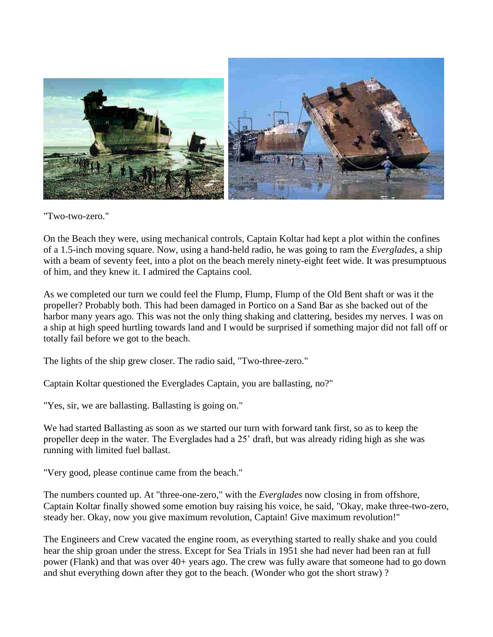

## "Two-two-zero."

On the Beach they were, using mechanical controls, Captain Koltar had kept a plot within the confines of a 1.5-inch moving square. Now, using a hand-held radio, he was going to ram the *Everglades,* a ship with a beam of seventy feet, into a plot on the beach merely ninety-eight feet wide. It was presumptuous of him, and they knew it. I admired the Captains cool.

As we completed our turn we could feel the Flump, Flump, Flump of the Old Bent shaft or was it the propeller? Probably both. This had been damaged in Portico on a Sand Bar as she backed out of the harbor many years ago. This was not the only thing shaking and clattering, besides my nerves. I was on a ship at high speed hurtling towards land and I would be surprised if something major did not fall off or totally fail before we got to the beach.

The lights of the ship grew closer. The radio said, "Two-three-zero."

Captain Koltar questioned the Everglades Captain, you are ballasting, no?"

"Yes, sir, we are ballasting. Ballasting is going on."

We had started Ballasting as soon as we started our turn with forward tank first, so as to keep the propeller deep in the water. The Everglades had a 25' draft, but was already riding high as she was running with limited fuel ballast.

"Very good, please continue came from the beach."

The numbers counted up. At "three-one-zero," with the *Everglades* now closing in from offshore, Captain Koltar finally showed some emotion buy raising his voice, he said, "Okay, make three-two-zero, steady her. Okay, now you give maximum revolution, Captain! Give maximum revolution!"

The Engineers and Crew vacated the engine room, as everything started to really shake and you could hear the ship groan under the stress. Except for Sea Trials in 1951 she had never had been ran at full power (Flank) and that was over 40+ years ago. The crew was fully aware that someone had to go down and shut everything down after they got to the beach. (Wonder who got the short straw) ?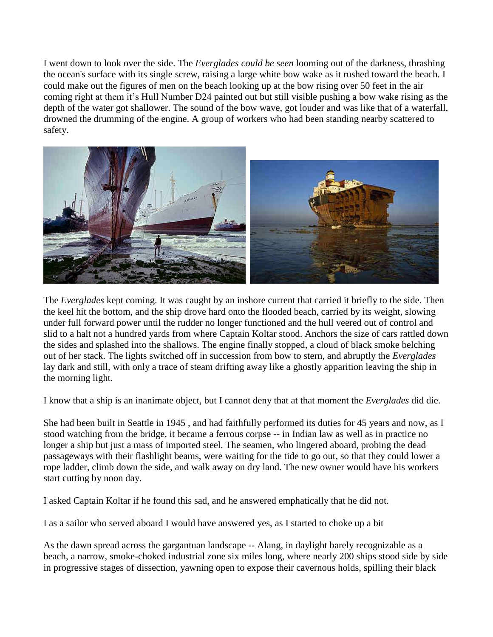I went down to look over the side. The *Everglades could be seen* looming out of the darkness, thrashing the ocean's surface with its single screw, raising a large white bow wake as it rushed toward the beach. I could make out the figures of men on the beach looking up at the bow rising over 50 feet in the air coming right at them it's Hull Number D24 painted out but still visible pushing a bow wake rising as the depth of the water got shallower. The sound of the bow wave, got louder and was like that of a waterfall, drowned the drumming of the engine. A group of workers who had been standing nearby scattered to safety.



The *Everglades* kept coming. It was caught by an inshore current that carried it briefly to the side. Then the keel hit the bottom, and the ship drove hard onto the flooded beach, carried by its weight, slowing under full forward power until the rudder no longer functioned and the hull veered out of control and slid to a halt not a hundred yards from where Captain Koltar stood. Anchors the size of cars rattled down the sides and splashed into the shallows. The engine finally stopped, a cloud of black smoke belching out of her stack. The lights switched off in succession from bow to stern, and abruptly the *Everglades* lay dark and still, with only a trace of steam drifting away like a ghostly apparition leaving the ship in the morning light.

I know that a ship is an inanimate object, but I cannot deny that at that moment the *Everglades* did die.

She had been built in Seattle in 1945 , and had faithfully performed its duties for 45 years and now, as I stood watching from the bridge, it became a ferrous corpse -- in Indian law as well as in practice no longer a ship but just a mass of imported steel. The seamen, who lingered aboard, probing the dead passageways with their flashlight beams, were waiting for the tide to go out, so that they could lower a rope ladder, climb down the side, and walk away on dry land. The new owner would have his workers start cutting by noon day.

I asked Captain Koltar if he found this sad, and he answered emphatically that he did not.

I as a sailor who served aboard I would have answered yes, as I started to choke up a bit

As the dawn spread across the gargantuan landscape -- Alang, in daylight barely recognizable as a beach, a narrow, smoke-choked industrial zone six miles long, where nearly 200 ships stood side by side in progressive stages of dissection, yawning open to expose their cavernous holds, spilling their black